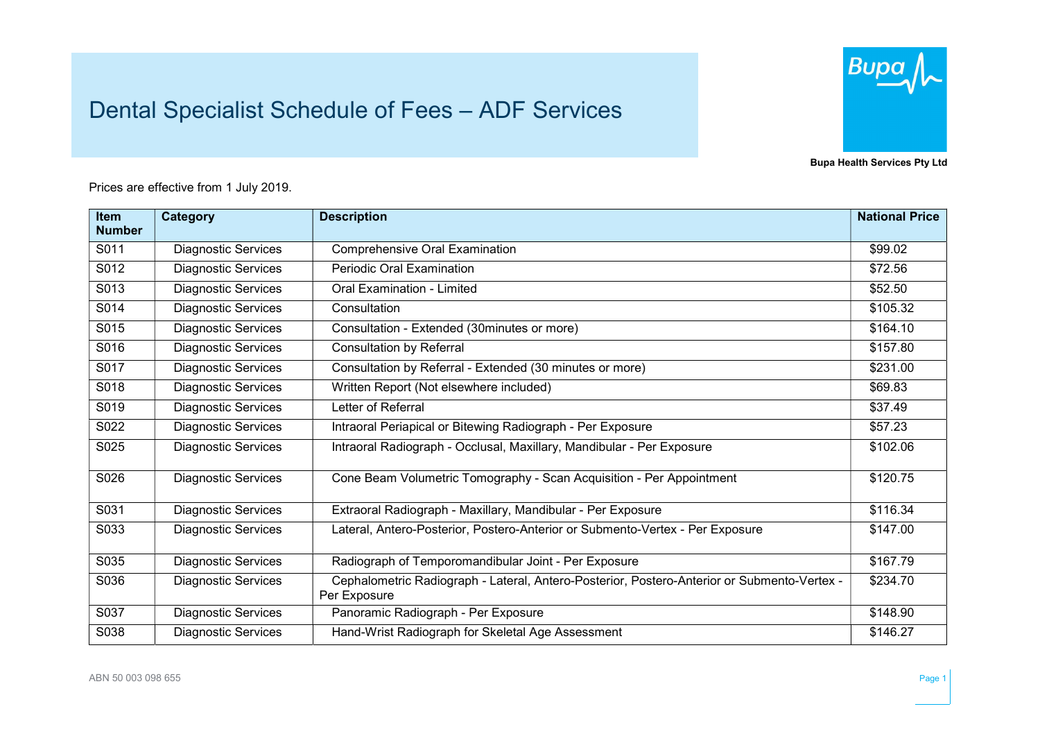## Dental Specialist Schedule of Fees – ADF Services



Bupa Health Services Pty Ltd

Prices are effective from 1 July 2019.

| <b>Item</b>   | <b>Category</b>            | <b>Description</b>                                                                                          | <b>National Price</b> |
|---------------|----------------------------|-------------------------------------------------------------------------------------------------------------|-----------------------|
| <b>Number</b> |                            |                                                                                                             |                       |
| S011          | <b>Diagnostic Services</b> | <b>Comprehensive Oral Examination</b>                                                                       | \$99.02               |
| S012          | <b>Diagnostic Services</b> | <b>Periodic Oral Examination</b>                                                                            | \$72.56               |
| S013          | <b>Diagnostic Services</b> | <b>Oral Examination - Limited</b>                                                                           | \$52.50               |
| S014          | <b>Diagnostic Services</b> | Consultation                                                                                                | \$105.32              |
| S015          | <b>Diagnostic Services</b> | Consultation - Extended (30minutes or more)                                                                 | \$164.10              |
| S016          | <b>Diagnostic Services</b> | <b>Consultation by Referral</b>                                                                             | \$157.80              |
| S017          | <b>Diagnostic Services</b> | Consultation by Referral - Extended (30 minutes or more)                                                    | \$231.00              |
| S018          | <b>Diagnostic Services</b> | Written Report (Not elsewhere included)                                                                     | \$69.83               |
| S019          | <b>Diagnostic Services</b> | Letter of Referral                                                                                          | \$37.49               |
| S022          | <b>Diagnostic Services</b> | Intraoral Periapical or Bitewing Radiograph - Per Exposure                                                  | \$57.23               |
| S025          | <b>Diagnostic Services</b> | Intraoral Radiograph - Occlusal, Maxillary, Mandibular - Per Exposure                                       | \$102.06              |
| S026          | <b>Diagnostic Services</b> | Cone Beam Volumetric Tomography - Scan Acquisition - Per Appointment                                        | \$120.75              |
| S031          | <b>Diagnostic Services</b> | Extraoral Radiograph - Maxillary, Mandibular - Per Exposure                                                 | \$116.34              |
| S033          | <b>Diagnostic Services</b> | Lateral, Antero-Posterior, Postero-Anterior or Submento-Vertex - Per Exposure                               | \$147.00              |
| S035          | <b>Diagnostic Services</b> | Radiograph of Temporomandibular Joint - Per Exposure                                                        | \$167.79              |
| S036          | <b>Diagnostic Services</b> | Cephalometric Radiograph - Lateral, Antero-Posterior, Postero-Anterior or Submento-Vertex -<br>Per Exposure | \$234.70              |
| S037          | <b>Diagnostic Services</b> | Panoramic Radiograph - Per Exposure                                                                         | \$148.90              |
| S038          | <b>Diagnostic Services</b> | Hand-Wrist Radiograph for Skeletal Age Assessment                                                           | \$146.27              |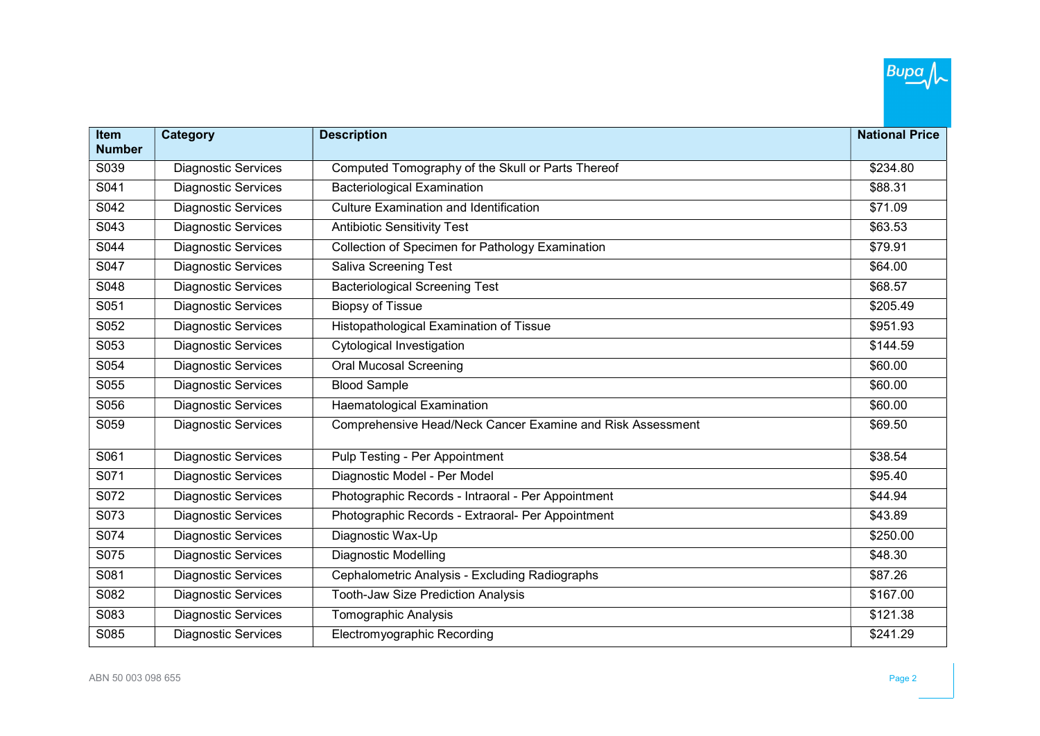| Item          | Category                   | <b>Description</b>                                         | <b>National Price</b> |
|---------------|----------------------------|------------------------------------------------------------|-----------------------|
| <b>Number</b> |                            |                                                            |                       |
| S039          | <b>Diagnostic Services</b> | Computed Tomography of the Skull or Parts Thereof          | \$234.80              |
| S041          | Diagnostic Services        | <b>Bacteriological Examination</b>                         | \$88.31               |
| S042          | <b>Diagnostic Services</b> | <b>Culture Examination and Identification</b>              | \$71.09               |
| S043          | <b>Diagnostic Services</b> | <b>Antibiotic Sensitivity Test</b>                         | \$63.53               |
| S044          | <b>Diagnostic Services</b> | Collection of Specimen for Pathology Examination           | \$79.91               |
| S047          | <b>Diagnostic Services</b> | <b>Saliva Screening Test</b>                               | \$64.00               |
| S048          | Diagnostic Services        | <b>Bacteriological Screening Test</b>                      | \$68.57               |
| S051          | <b>Diagnostic Services</b> | <b>Biopsy of Tissue</b>                                    | \$205.49              |
| S052          | <b>Diagnostic Services</b> | Histopathological Examination of Tissue                    | \$951.93              |
| S053          | <b>Diagnostic Services</b> | Cytological Investigation                                  | \$144.59              |
| S054          | <b>Diagnostic Services</b> | <b>Oral Mucosal Screening</b>                              | \$60.00               |
| S055          | <b>Diagnostic Services</b> | <b>Blood Sample</b>                                        | \$60.00               |
| S056          | <b>Diagnostic Services</b> | Haematological Examination                                 | \$60.00               |
| S059          | <b>Diagnostic Services</b> | Comprehensive Head/Neck Cancer Examine and Risk Assessment | \$69.50               |
| S061          | <b>Diagnostic Services</b> | Pulp Testing - Per Appointment                             | \$38.54               |
| S071          | <b>Diagnostic Services</b> | Diagnostic Model - Per Model                               | \$95.40               |
| S072          | <b>Diagnostic Services</b> | Photographic Records - Intraoral - Per Appointment         | \$44.94               |
| S073          | <b>Diagnostic Services</b> | Photographic Records - Extraoral- Per Appointment          | \$43.89               |
| S074          | <b>Diagnostic Services</b> | Diagnostic Wax-Up                                          | \$250.00              |
| S075          | <b>Diagnostic Services</b> | <b>Diagnostic Modelling</b>                                | \$48.30               |
| S081          | <b>Diagnostic Services</b> | Cephalometric Analysis - Excluding Radiographs             | \$87.26               |
| S082          | <b>Diagnostic Services</b> | <b>Tooth-Jaw Size Prediction Analysis</b>                  | \$167.00              |
| S083          | <b>Diagnostic Services</b> | <b>Tomographic Analysis</b>                                | \$121.38              |
| S085          | Diagnostic Services        | Electromyographic Recording                                | \$241.29              |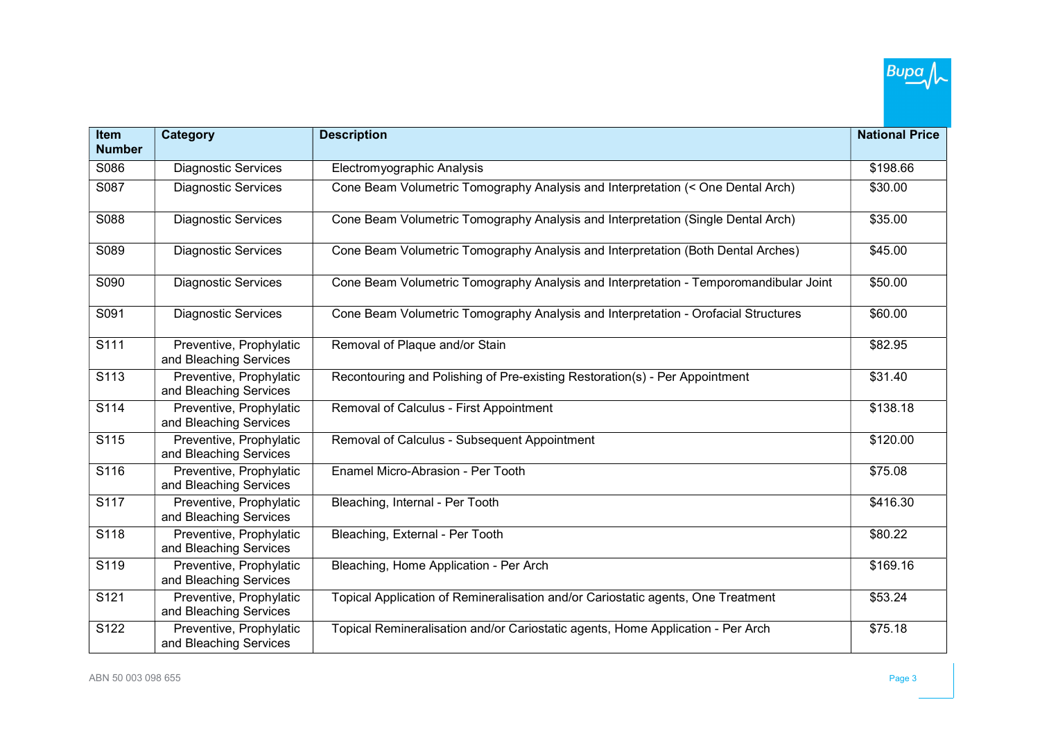| Item             | Category                                          | <b>Description</b>                                                                    | <b>National Price</b> |
|------------------|---------------------------------------------------|---------------------------------------------------------------------------------------|-----------------------|
| <b>Number</b>    |                                                   |                                                                                       |                       |
| S086             | <b>Diagnostic Services</b>                        | Electromyographic Analysis                                                            | \$198.66              |
| S087             | <b>Diagnostic Services</b>                        | Cone Beam Volumetric Tomography Analysis and Interpretation (< One Dental Arch)       | \$30.00               |
| S088             | <b>Diagnostic Services</b>                        | Cone Beam Volumetric Tomography Analysis and Interpretation (Single Dental Arch)      | \$35.00               |
| S089             | <b>Diagnostic Services</b>                        | Cone Beam Volumetric Tomography Analysis and Interpretation (Both Dental Arches)      | \$45.00               |
| S090             | <b>Diagnostic Services</b>                        | Cone Beam Volumetric Tomography Analysis and Interpretation - Temporomandibular Joint | \$50.00               |
| S091             | <b>Diagnostic Services</b>                        | Cone Beam Volumetric Tomography Analysis and Interpretation - Orofacial Structures    | \$60.00               |
| S111             | Preventive, Prophylatic<br>and Bleaching Services | Removal of Plaque and/or Stain                                                        | \$82.95               |
| S <sub>113</sub> | Preventive, Prophylatic<br>and Bleaching Services | Recontouring and Polishing of Pre-existing Restoration(s) - Per Appointment           | \$31.40               |
| S114             | Preventive, Prophylatic<br>and Bleaching Services | Removal of Calculus - First Appointment                                               | \$138.18              |
| S115             | Preventive, Prophylatic<br>and Bleaching Services | Removal of Calculus - Subsequent Appointment                                          | \$120.00              |
| S116             | Preventive, Prophylatic<br>and Bleaching Services | Enamel Micro-Abrasion - Per Tooth                                                     | \$75.08               |
| S117             | Preventive, Prophylatic<br>and Bleaching Services | Bleaching, Internal - Per Tooth                                                       | \$416.30              |
| S118             | Preventive, Prophylatic<br>and Bleaching Services | Bleaching, External - Per Tooth                                                       | \$80.22               |
| S119             | Preventive, Prophylatic<br>and Bleaching Services | Bleaching, Home Application - Per Arch                                                | \$169.16              |
| S121             | Preventive, Prophylatic<br>and Bleaching Services | Topical Application of Remineralisation and/or Cariostatic agents, One Treatment      | \$53.24               |
| S122             | Preventive, Prophylatic<br>and Bleaching Services | Topical Remineralisation and/or Cariostatic agents, Home Application - Per Arch       | \$75.18               |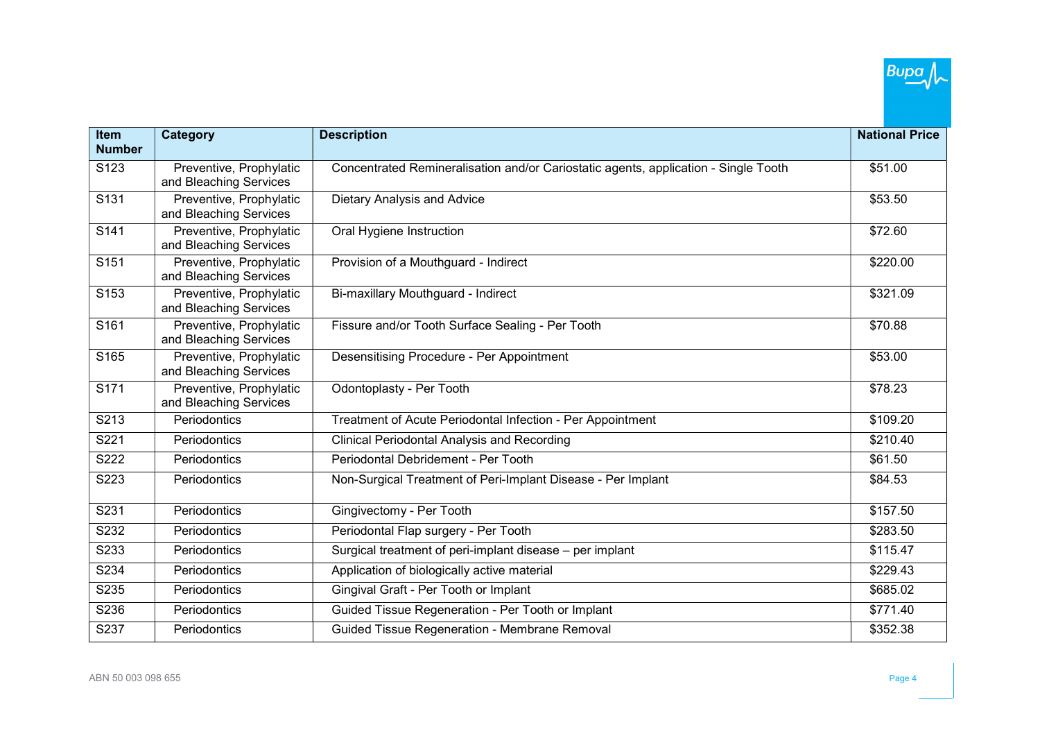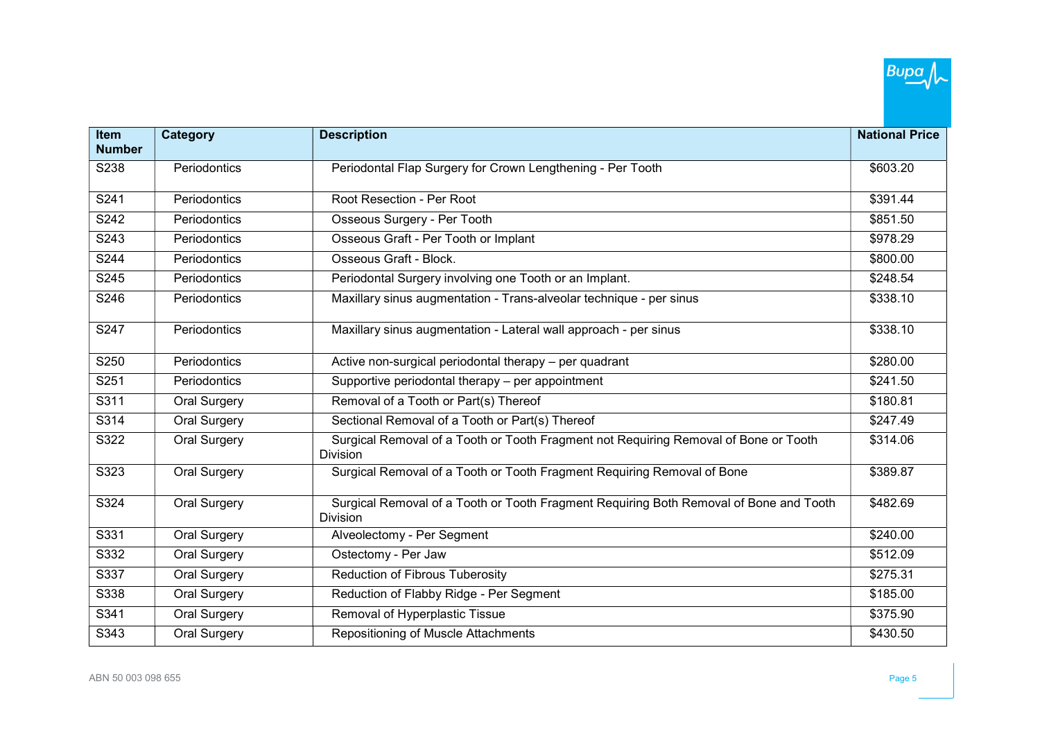| Item          | Category            | <b>Description</b>                                                                                        | <b>National Price</b> |
|---------------|---------------------|-----------------------------------------------------------------------------------------------------------|-----------------------|
| <b>Number</b> |                     |                                                                                                           |                       |
| S238          | Periodontics        | Periodontal Flap Surgery for Crown Lengthening - Per Tooth                                                | \$603.20              |
| S241          | Periodontics        | Root Resection - Per Root                                                                                 | \$391.44              |
| S242          | Periodontics        | Osseous Surgery - Per Tooth                                                                               | \$851.50              |
| S243          | Periodontics        | Osseous Graft - Per Tooth or Implant                                                                      | \$978.29              |
| S244          | Periodontics        | Osseous Graft - Block.                                                                                    | \$800.00              |
| S245          | Periodontics        | Periodontal Surgery involving one Tooth or an Implant.                                                    | \$248.54              |
| S246          | Periodontics        | Maxillary sinus augmentation - Trans-alveolar technique - per sinus                                       | \$338.10              |
| S247          | Periodontics        | Maxillary sinus augmentation - Lateral wall approach - per sinus                                          | \$338.10              |
| S250          | Periodontics        | Active non-surgical periodontal therapy - per quadrant                                                    | \$280.00              |
| S251          | Periodontics        | Supportive periodontal therapy - per appointment                                                          | \$241.50              |
| S311          | Oral Surgery        | Removal of a Tooth or Part(s) Thereof                                                                     | \$180.81              |
| S314          | Oral Surgery        | Sectional Removal of a Tooth or Part(s) Thereof                                                           | \$247.49              |
| S322          | Oral Surgery        | Surgical Removal of a Tooth or Tooth Fragment not Requiring Removal of Bone or Tooth<br>Division          | \$314.06              |
| S323          | Oral Surgery        | Surgical Removal of a Tooth or Tooth Fragment Requiring Removal of Bone                                   | \$389.87              |
| S324          | Oral Surgery        | Surgical Removal of a Tooth or Tooth Fragment Requiring Both Removal of Bone and Tooth<br><b>Division</b> | \$482.69              |
| S331          | Oral Surgery        | Alveolectomy - Per Segment                                                                                | \$240.00              |
| S332          | Oral Surgery        | Ostectomy - Per Jaw                                                                                       | \$512.09              |
| S337          | Oral Surgery        | <b>Reduction of Fibrous Tuberosity</b>                                                                    | \$275.31              |
| S338          | Oral Surgery        | Reduction of Flabby Ridge - Per Segment                                                                   | \$185.00              |
| S341          | <b>Oral Surgery</b> | Removal of Hyperplastic Tissue                                                                            | \$375.90              |
| S343          | Oral Surgery        | Repositioning of Muscle Attachments                                                                       | \$430.50              |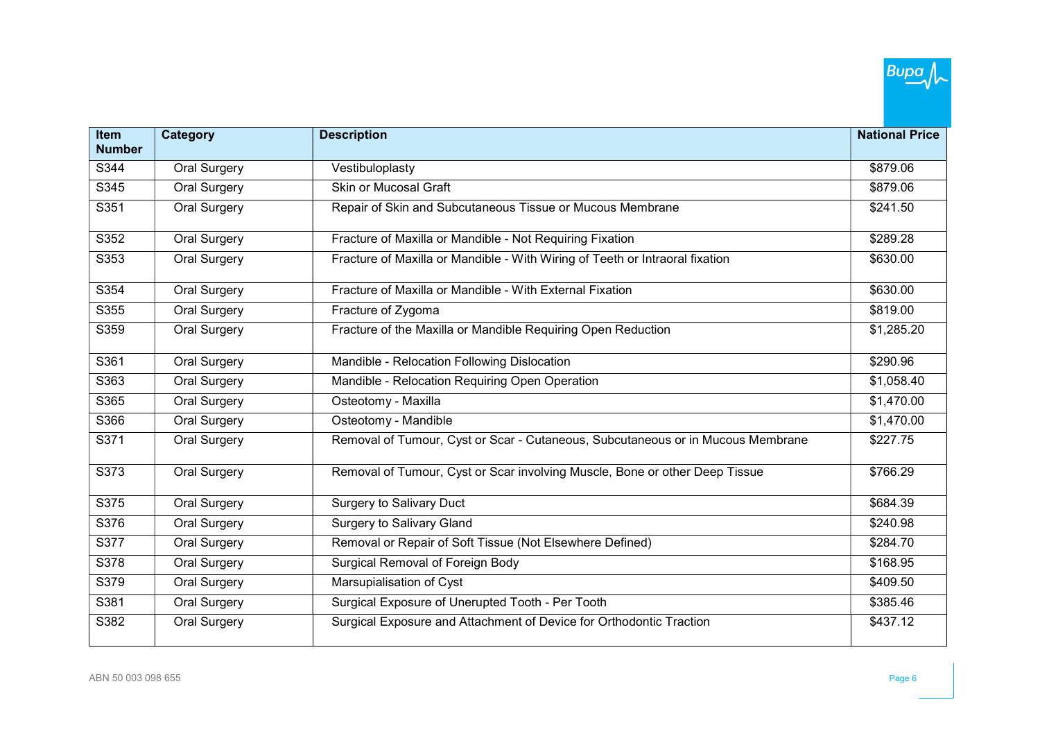| Item<br><b>Number</b> | Category            | <b>Description</b>                                                              | <b>National Price</b> |
|-----------------------|---------------------|---------------------------------------------------------------------------------|-----------------------|
| S344                  | Oral Surgery        | Vestibuloplasty                                                                 | \$879.06              |
| S345                  | <b>Oral Surgery</b> | <b>Skin or Mucosal Graft</b>                                                    | \$879.06              |
| S351                  | Oral Surgery        | Repair of Skin and Subcutaneous Tissue or Mucous Membrane                       | \$241.50              |
| S352                  | Oral Surgery        | Fracture of Maxilla or Mandible - Not Requiring Fixation                        | \$289.28              |
| S353                  | Oral Surgery        | Fracture of Maxilla or Mandible - With Wiring of Teeth or Intraoral fixation    | \$630.00              |
| S354                  | <b>Oral Surgery</b> | Fracture of Maxilla or Mandible - With External Fixation                        | \$630.00              |
| S355                  | Oral Surgery        | Fracture of Zygoma                                                              | \$819.00              |
| S359                  | Oral Surgery        | Fracture of the Maxilla or Mandible Requiring Open Reduction                    | \$1,285.20            |
| S361                  | Oral Surgery        | Mandible - Relocation Following Dislocation                                     | \$290.96              |
| S363                  | Oral Surgery        | Mandible - Relocation Requiring Open Operation                                  | \$1,058.40            |
| S365                  | Oral Surgery        | Osteotomy - Maxilla                                                             | \$1,470.00            |
| S366                  | <b>Oral Surgery</b> | Osteotomy - Mandible                                                            | \$1,470.00            |
| S371                  | Oral Surgery        | Removal of Tumour, Cyst or Scar - Cutaneous, Subcutaneous or in Mucous Membrane | \$227.75              |
| S373                  | Oral Surgery        | Removal of Tumour, Cyst or Scar involving Muscle, Bone or other Deep Tissue     | \$766.29              |
| S375                  | Oral Surgery        | <b>Surgery to Salivary Duct</b>                                                 | \$684.39              |
| S376                  | Oral Surgery        | <b>Surgery to Salivary Gland</b>                                                | \$240.98              |
| S377                  | <b>Oral Surgery</b> | Removal or Repair of Soft Tissue (Not Elsewhere Defined)                        | \$284.70              |
| S378                  | Oral Surgery        | Surgical Removal of Foreign Body                                                | \$168.95              |
| S379                  | Oral Surgery        | Marsupialisation of Cyst                                                        | \$409.50              |
| S381                  | Oral Surgery        | Surgical Exposure of Unerupted Tooth - Per Tooth                                | \$385.46              |
| S382                  | Oral Surgery        | Surgical Exposure and Attachment of Device for Orthodontic Traction             | \$437.12              |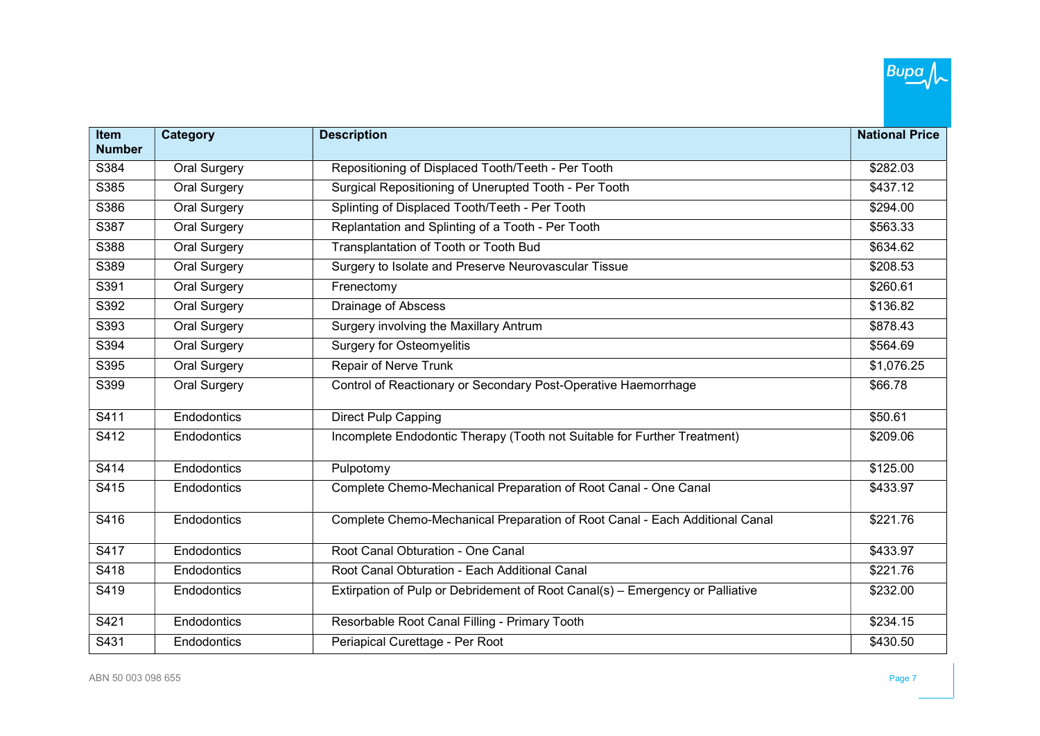| Item          | Category            | <b>Description</b>                                                            | <b>National Price</b> |
|---------------|---------------------|-------------------------------------------------------------------------------|-----------------------|
| <b>Number</b> |                     |                                                                               |                       |
| S384          | Oral Surgery        | Repositioning of Displaced Tooth/Teeth - Per Tooth                            | \$282.03              |
| S385          | <b>Oral Surgery</b> | Surgical Repositioning of Unerupted Tooth - Per Tooth                         | \$437.12              |
| S386          | Oral Surgery        | Splinting of Displaced Tooth/Teeth - Per Tooth                                | \$294.00              |
| S387          | Oral Surgery        | Replantation and Splinting of a Tooth - Per Tooth                             | \$563.33              |
| S388          | <b>Oral Surgery</b> | Transplantation of Tooth or Tooth Bud                                         | \$634.62              |
| S389          | Oral Surgery        | Surgery to Isolate and Preserve Neurovascular Tissue                          | \$208.53              |
| S391          | Oral Surgery        | Frenectomy                                                                    | \$260.61              |
| S392          | Oral Surgery        | Drainage of Abscess                                                           | \$136.82              |
| S393          | <b>Oral Surgery</b> | Surgery involving the Maxillary Antrum                                        | \$878.43              |
| S394          | <b>Oral Surgery</b> | <b>Surgery for Osteomyelitis</b>                                              | \$564.69              |
| S395          | Oral Surgery        | <b>Repair of Nerve Trunk</b>                                                  | \$1,076.25            |
| S399          | Oral Surgery        | Control of Reactionary or Secondary Post-Operative Haemorrhage                | \$66.78               |
| S411          | Endodontics         | Direct Pulp Capping                                                           | \$50.61               |
| S412          | Endodontics         | Incomplete Endodontic Therapy (Tooth not Suitable for Further Treatment)      | \$209.06              |
| S414          | Endodontics         | Pulpotomy                                                                     | \$125.00              |
| S415          | Endodontics         | Complete Chemo-Mechanical Preparation of Root Canal - One Canal               | \$433.97              |
| S416          | Endodontics         | Complete Chemo-Mechanical Preparation of Root Canal - Each Additional Canal   | \$221.76              |
| S417          | Endodontics         | Root Canal Obturation - One Canal                                             | \$433.97              |
| S418          | Endodontics         | Root Canal Obturation - Each Additional Canal                                 | \$221.76              |
| S419          | Endodontics         | Extirpation of Pulp or Debridement of Root Canal(s) - Emergency or Palliative | \$232.00              |
| S421          | Endodontics         | Resorbable Root Canal Filling - Primary Tooth                                 | \$234.15              |
| S431          | Endodontics         | Periapical Curettage - Per Root                                               | \$430.50              |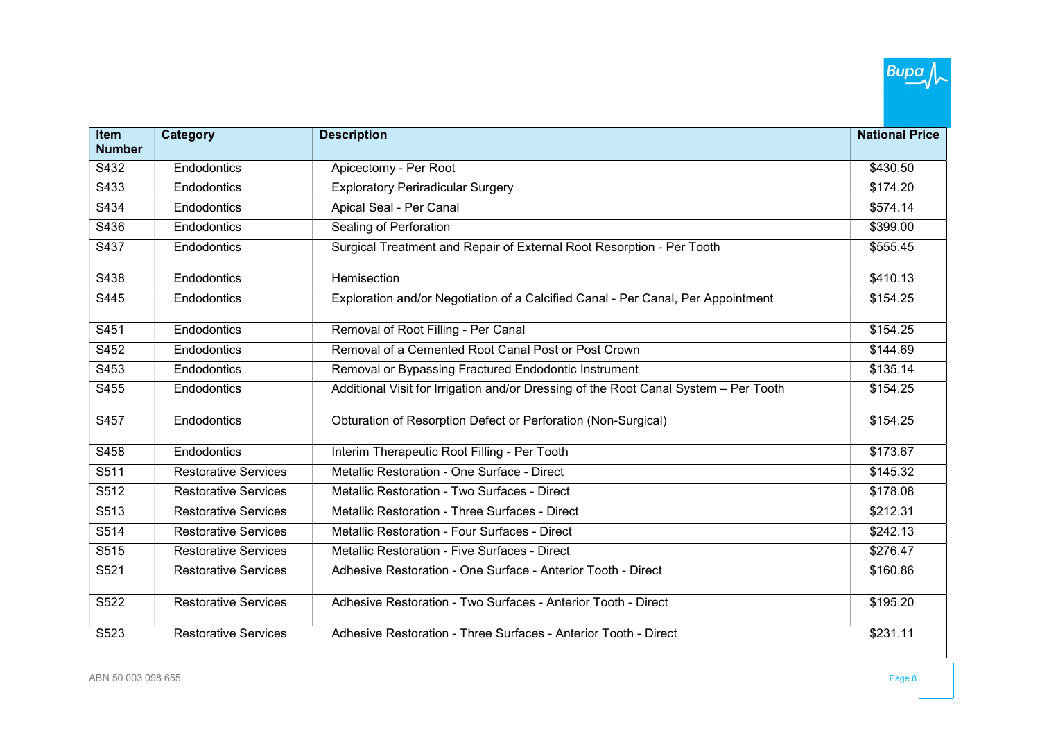| <b>Item</b><br><b>Number</b> | <b>Category</b>             | <b>Description</b>                                                                   | <b>National Price</b> |
|------------------------------|-----------------------------|--------------------------------------------------------------------------------------|-----------------------|
| S432                         | Endodontics                 | Apicectomy - Per Root                                                                | \$430.50              |
|                              |                             |                                                                                      |                       |
| S433                         | Endodontics                 | <b>Exploratory Periradicular Surgery</b>                                             | \$174.20              |
| S434                         | Endodontics                 | Apical Seal - Per Canal                                                              | \$574.14              |
| S436                         | Endodontics                 | Sealing of Perforation                                                               | \$399.00              |
| S437                         | Endodontics                 | Surgical Treatment and Repair of External Root Resorption - Per Tooth                | \$555.45              |
| S438                         | Endodontics                 | Hemisection                                                                          | \$410.13              |
| S445                         | Endodontics                 | Exploration and/or Negotiation of a Calcified Canal - Per Canal, Per Appointment     | \$154.25              |
| S451                         | Endodontics                 | Removal of Root Filling - Per Canal                                                  | \$154.25              |
| S452                         | Endodontics                 | Removal of a Cemented Root Canal Post or Post Crown                                  | \$144.69              |
| S453                         | Endodontics                 | Removal or Bypassing Fractured Endodontic Instrument                                 | \$135.14              |
| S455                         | Endodontics                 | Additional Visit for Irrigation and/or Dressing of the Root Canal System - Per Tooth | \$154.25              |
| S457                         | Endodontics                 | Obturation of Resorption Defect or Perforation (Non-Surgical)                        | \$154.25              |
| S458                         | Endodontics                 | Interim Therapeutic Root Filling - Per Tooth                                         | \$173.67              |
| S511                         | <b>Restorative Services</b> | Metallic Restoration - One Surface - Direct                                          | \$145.32              |
| S512                         | <b>Restorative Services</b> | Metallic Restoration - Two Surfaces - Direct                                         | \$178.08              |
| S513                         | <b>Restorative Services</b> | Metallic Restoration - Three Surfaces - Direct                                       | \$212.31              |
| S514                         | <b>Restorative Services</b> | Metallic Restoration - Four Surfaces - Direct                                        | \$242.13              |
| S515                         | <b>Restorative Services</b> | Metallic Restoration - Five Surfaces - Direct                                        | \$276.47              |
| S521                         | <b>Restorative Services</b> | Adhesive Restoration - One Surface - Anterior Tooth - Direct                         | \$160.86              |
| S522                         | <b>Restorative Services</b> | Adhesive Restoration - Two Surfaces - Anterior Tooth - Direct                        | \$195.20              |
| S523                         | <b>Restorative Services</b> | Adhesive Restoration - Three Surfaces - Anterior Tooth - Direct                      | \$231.11              |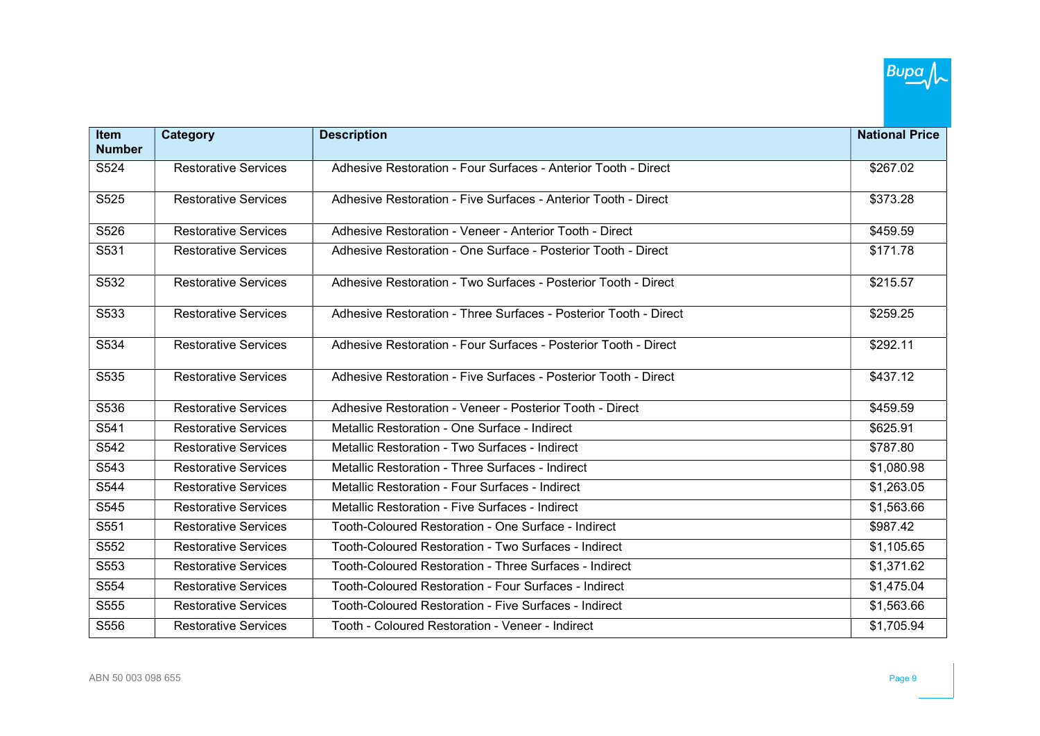| <b>Item</b>      | Category                    | <b>Description</b>                                               | <b>National Price</b> |
|------------------|-----------------------------|------------------------------------------------------------------|-----------------------|
| <b>Number</b>    |                             |                                                                  |                       |
| S524             | <b>Restorative Services</b> | Adhesive Restoration - Four Surfaces - Anterior Tooth - Direct   | \$267.02              |
| S525             | <b>Restorative Services</b> | Adhesive Restoration - Five Surfaces - Anterior Tooth - Direct   | \$373.28              |
| S526             | <b>Restorative Services</b> | Adhesive Restoration - Veneer - Anterior Tooth - Direct          | \$459.59              |
| S531             | <b>Restorative Services</b> | Adhesive Restoration - One Surface - Posterior Tooth - Direct    | \$171.78              |
| S <sub>532</sub> | <b>Restorative Services</b> | Adhesive Restoration - Two Surfaces - Posterior Tooth - Direct   | \$215.57              |
| S533             | <b>Restorative Services</b> | Adhesive Restoration - Three Surfaces - Posterior Tooth - Direct | \$259.25              |
| S534             | <b>Restorative Services</b> | Adhesive Restoration - Four Surfaces - Posterior Tooth - Direct  | \$292.11              |
| S535             | <b>Restorative Services</b> | Adhesive Restoration - Five Surfaces - Posterior Tooth - Direct  | \$437.12              |
| S536             | <b>Restorative Services</b> | Adhesive Restoration - Veneer - Posterior Tooth - Direct         | \$459.59              |
| S541             | <b>Restorative Services</b> | Metallic Restoration - One Surface - Indirect                    | \$625.91              |
| S542             | <b>Restorative Services</b> | Metallic Restoration - Two Surfaces - Indirect                   | \$787.80              |
| S543             | <b>Restorative Services</b> | Metallic Restoration - Three Surfaces - Indirect                 | \$1,080.98            |
| S544             | <b>Restorative Services</b> | Metallic Restoration - Four Surfaces - Indirect                  | \$1,263.05            |
| S545             | <b>Restorative Services</b> | Metallic Restoration - Five Surfaces - Indirect                  | \$1,563.66            |
| S551             | <b>Restorative Services</b> | Tooth-Coloured Restoration - One Surface - Indirect              | \$987.42              |
| S552             | <b>Restorative Services</b> | Tooth-Coloured Restoration - Two Surfaces - Indirect             | \$1,105.65            |
| S553             | <b>Restorative Services</b> | Tooth-Coloured Restoration - Three Surfaces - Indirect           | \$1,371.62            |
| S554             | <b>Restorative Services</b> | <b>Tooth-Coloured Restoration - Four Surfaces - Indirect</b>     | \$1,475.04            |
| S555             | <b>Restorative Services</b> | <b>Tooth-Coloured Restoration - Five Surfaces - Indirect</b>     | \$1,563.66            |
| S556             | <b>Restorative Services</b> | Tooth - Coloured Restoration - Veneer - Indirect                 | \$1,705.94            |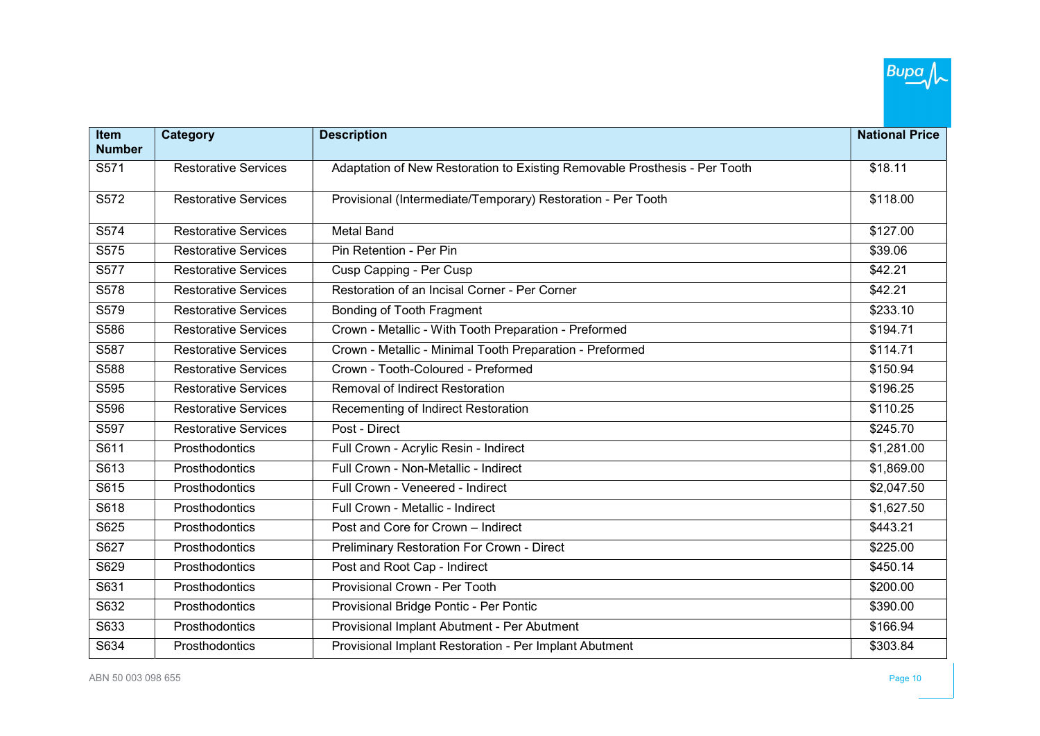

| <b>Item</b><br><b>Number</b> | Category                    | <b>Description</b>                                                         | <b>National Price</b> |
|------------------------------|-----------------------------|----------------------------------------------------------------------------|-----------------------|
| S571                         | <b>Restorative Services</b> | Adaptation of New Restoration to Existing Removable Prosthesis - Per Tooth | \$18.11               |
|                              |                             |                                                                            |                       |
| S572                         | <b>Restorative Services</b> | Provisional (Intermediate/Temporary) Restoration - Per Tooth               | \$118.00              |
|                              |                             | <b>Metal Band</b>                                                          |                       |
| S574                         | <b>Restorative Services</b> |                                                                            | \$127.00              |
| S575                         | <b>Restorative Services</b> | Pin Retention - Per Pin                                                    | \$39.06               |
| S577                         | <b>Restorative Services</b> | Cusp Capping - Per Cusp                                                    | \$42.21               |
| S578                         | <b>Restorative Services</b> | Restoration of an Incisal Corner - Per Corner                              | \$42.21               |
| S579                         | <b>Restorative Services</b> | Bonding of Tooth Fragment                                                  | \$233.10              |
| S586                         | <b>Restorative Services</b> | Crown - Metallic - With Tooth Preparation - Preformed                      | \$194.71              |
| S587                         | <b>Restorative Services</b> | Crown - Metallic - Minimal Tooth Preparation - Preformed                   | \$114.71              |
| S588                         | <b>Restorative Services</b> | Crown - Tooth-Coloured - Preformed                                         | \$150.94              |
| S595                         | <b>Restorative Services</b> | <b>Removal of Indirect Restoration</b>                                     | \$196.25              |
| S596                         | <b>Restorative Services</b> | Recementing of Indirect Restoration                                        | \$110.25              |
| S597                         | <b>Restorative Services</b> | Post - Direct                                                              | \$245.70              |
| S611                         | Prosthodontics              | Full Crown - Acrylic Resin - Indirect                                      | \$1,281.00            |
| S613                         | Prosthodontics              | Full Crown - Non-Metallic - Indirect                                       | \$1,869.00            |
| S615                         | <b>Prosthodontics</b>       | Full Crown - Veneered - Indirect                                           | \$2,047.50            |
| S618                         | Prosthodontics              | Full Crown - Metallic - Indirect                                           | \$1,627.50            |
| S625                         | Prosthodontics              | Post and Core for Crown - Indirect                                         | \$443.21              |
| S627                         | Prosthodontics              | Preliminary Restoration For Crown - Direct                                 | \$225.00              |
| S629                         | Prosthodontics              | Post and Root Cap - Indirect                                               | \$450.14              |
| S631                         | Prosthodontics              | Provisional Crown - Per Tooth                                              | \$200.00              |
| S632                         | Prosthodontics              | Provisional Bridge Pontic - Per Pontic                                     | \$390.00              |
| S633                         | Prosthodontics              | Provisional Implant Abutment - Per Abutment                                | \$166.94              |
| S634                         | Prosthodontics              | Provisional Implant Restoration - Per Implant Abutment                     | \$303.84              |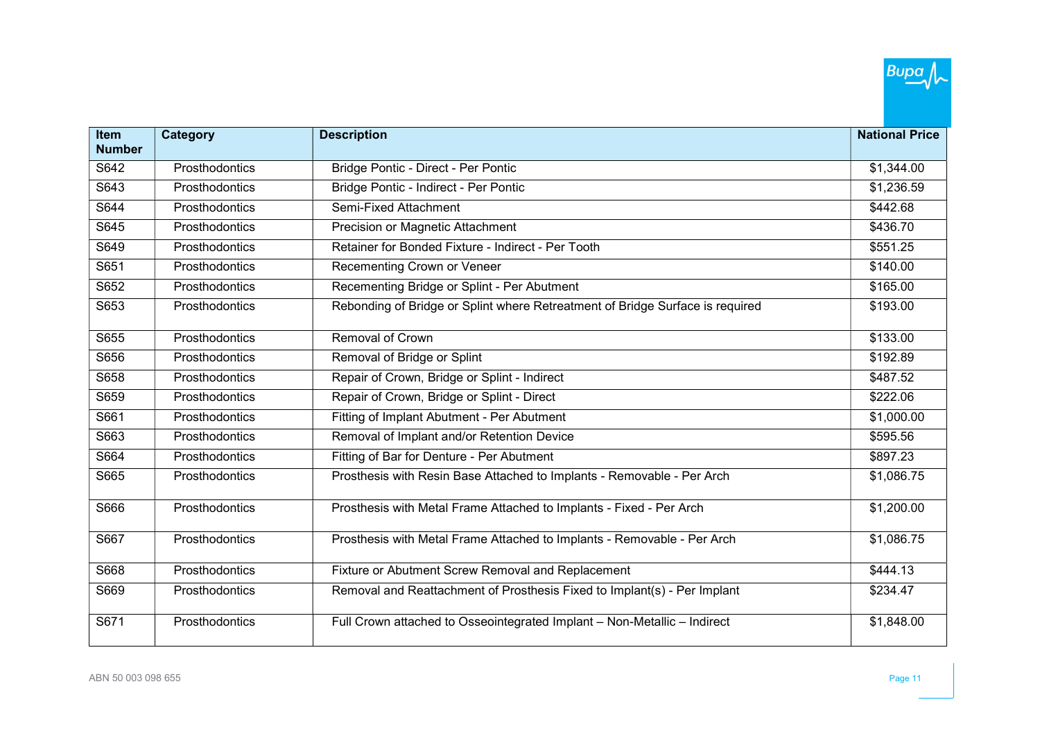| Item          | <b>Category</b> | <b>Description</b>                                                            | <b>National Price</b> |
|---------------|-----------------|-------------------------------------------------------------------------------|-----------------------|
| <b>Number</b> |                 |                                                                               |                       |
| S642          | Prosthodontics  | Bridge Pontic - Direct - Per Pontic                                           | \$1,344.00            |
| S643          | Prosthodontics  | Bridge Pontic - Indirect - Per Pontic                                         | \$1,236.59            |
| S644          | Prosthodontics  | Semi-Fixed Attachment                                                         | \$442.68              |
| S645          | Prosthodontics  | Precision or Magnetic Attachment                                              | \$436.70              |
| S649          | Prosthodontics  | Retainer for Bonded Fixture - Indirect - Per Tooth                            | \$551.25              |
| S651          | Prosthodontics  | Recementing Crown or Veneer                                                   | \$140.00              |
| S652          | Prosthodontics  | Recementing Bridge or Splint - Per Abutment                                   | \$165.00              |
| S653          | Prosthodontics  | Rebonding of Bridge or Splint where Retreatment of Bridge Surface is required | \$193.00              |
| S655          | Prosthodontics  | Removal of Crown                                                              | \$133.00              |
| S656          | Prosthodontics  | Removal of Bridge or Splint                                                   | \$192.89              |
| S658          | Prosthodontics  | Repair of Crown, Bridge or Splint - Indirect                                  | \$487.52              |
| S659          | Prosthodontics  | Repair of Crown, Bridge or Splint - Direct                                    | \$222.06              |
| S661          | Prosthodontics  | Fitting of Implant Abutment - Per Abutment                                    | \$1,000.00            |
| S663          | Prosthodontics  | Removal of Implant and/or Retention Device                                    | \$595.56              |
| S664          | Prosthodontics  | Fitting of Bar for Denture - Per Abutment                                     | \$897.23              |
| S665          | Prosthodontics  | Prosthesis with Resin Base Attached to Implants - Removable - Per Arch        | \$1,086.75            |
| S666          | Prosthodontics  | Prosthesis with Metal Frame Attached to Implants - Fixed - Per Arch           | \$1,200.00            |
| S667          | Prosthodontics  | Prosthesis with Metal Frame Attached to Implants - Removable - Per Arch       | \$1,086.75            |
| S668          | Prosthodontics  | Fixture or Abutment Screw Removal and Replacement                             | \$444.13              |
| S669          | Prosthodontics  | Removal and Reattachment of Prosthesis Fixed to Implant(s) - Per Implant      | \$234.47              |
| S671          | Prosthodontics  | Full Crown attached to Osseointegrated Implant - Non-Metallic - Indirect      | \$1,848.00            |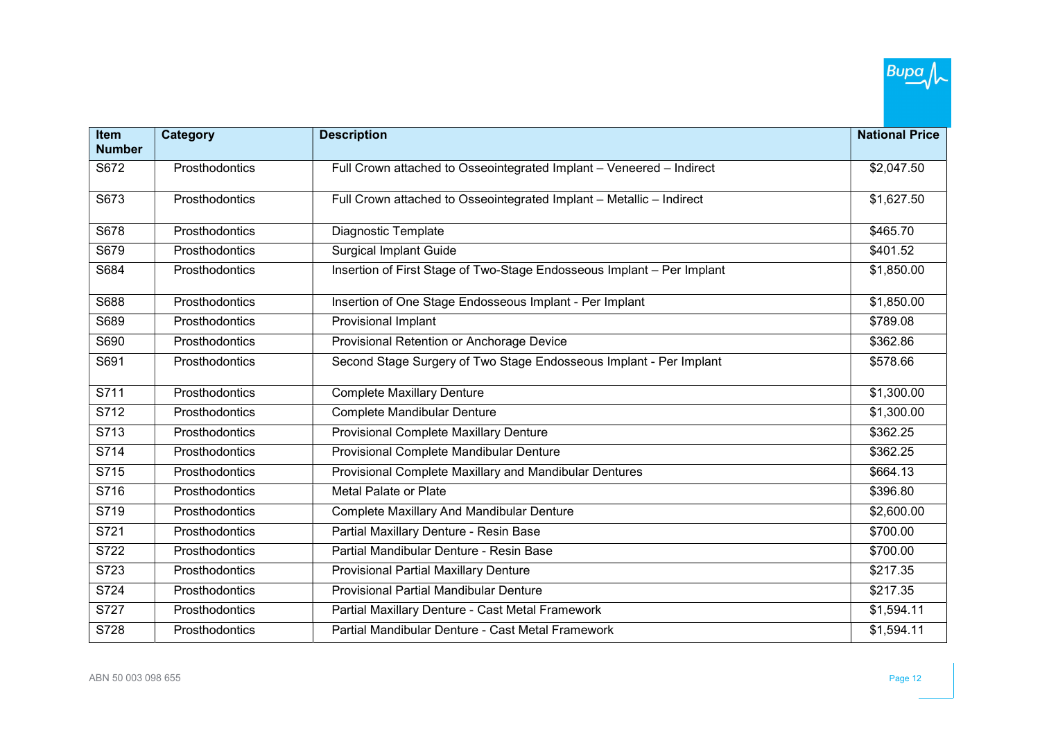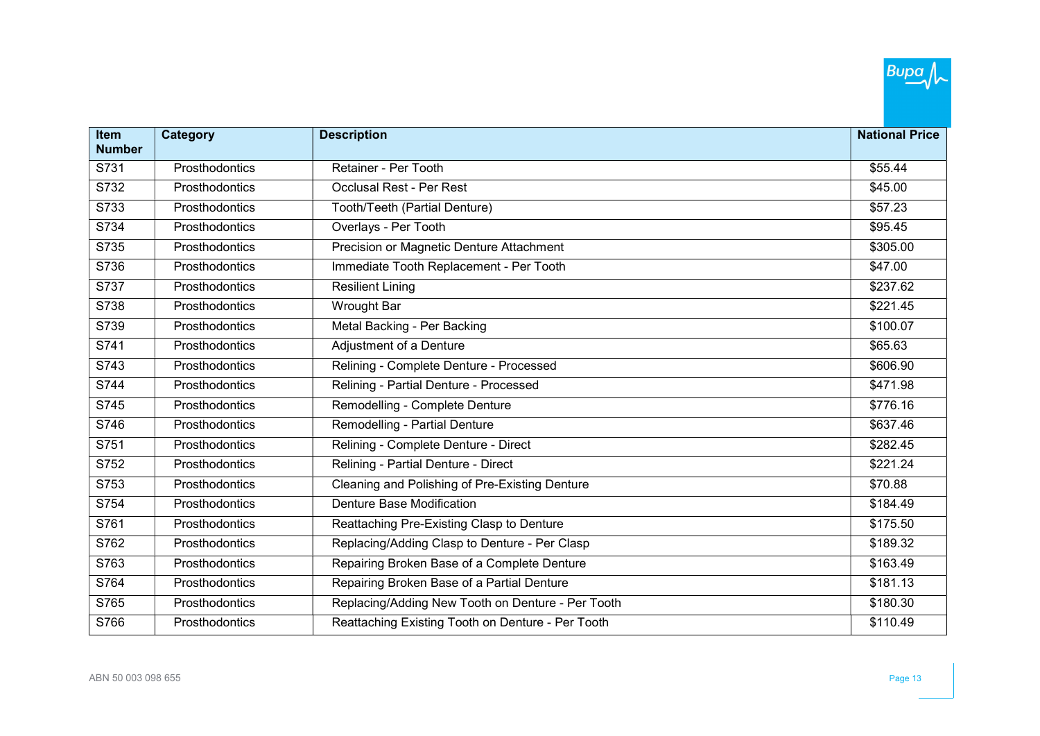| Item          | <b>Category</b> | <b>Description</b>                                | <b>National Price</b> |
|---------------|-----------------|---------------------------------------------------|-----------------------|
| <b>Number</b> |                 |                                                   |                       |
| S731          | Prosthodontics  | Retainer - Per Tooth                              | \$55.44               |
| S732          | Prosthodontics  | <b>Occlusal Rest - Per Rest</b>                   | \$45.00               |
| S733          | Prosthodontics  | Tooth/Teeth (Partial Denture)                     | \$57.23               |
| S734          | Prosthodontics  | Overlays - Per Tooth                              | \$95.45               |
| S735          | Prosthodontics  | Precision or Magnetic Denture Attachment          | \$305.00              |
| S736          | Prosthodontics  | Immediate Tooth Replacement - Per Tooth           | \$47.00               |
| S737          | Prosthodontics  | <b>Resilient Lining</b>                           | \$237.62              |
| S738          | Prosthodontics  | <b>Wrought Bar</b>                                | \$221.45              |
| S739          | Prosthodontics  | Metal Backing - Per Backing                       | \$100.07              |
| S741          | Prosthodontics  | Adjustment of a Denture                           | \$65.63               |
| S743          | Prosthodontics  | Relining - Complete Denture - Processed           | \$606.90              |
| S744          | Prosthodontics  | Relining - Partial Denture - Processed            | \$471.98              |
| S745          | Prosthodontics  | Remodelling - Complete Denture                    | \$776.16              |
| S746          | Prosthodontics  | Remodelling - Partial Denture                     | \$637.46              |
| S751          | Prosthodontics  | Relining - Complete Denture - Direct              | \$282.45              |
| S752          | Prosthodontics  | Relining - Partial Denture - Direct               | \$221.24              |
| S753          | Prosthodontics  | Cleaning and Polishing of Pre-Existing Denture    | \$70.88               |
| S754          | Prosthodontics  | Denture Base Modification                         | \$184.49              |
| S761          | Prosthodontics  | Reattaching Pre-Existing Clasp to Denture         | \$175.50              |
| S762          | Prosthodontics  | Replacing/Adding Clasp to Denture - Per Clasp     | \$189.32              |
| S763          | Prosthodontics  | Repairing Broken Base of a Complete Denture       | \$163.49              |
| S764          | Prosthodontics  | Repairing Broken Base of a Partial Denture        | \$181.13              |
| S765          | Prosthodontics  | Replacing/Adding New Tooth on Denture - Per Tooth | \$180.30              |
| S766          | Prosthodontics  | Reattaching Existing Tooth on Denture - Per Tooth | \$110.49              |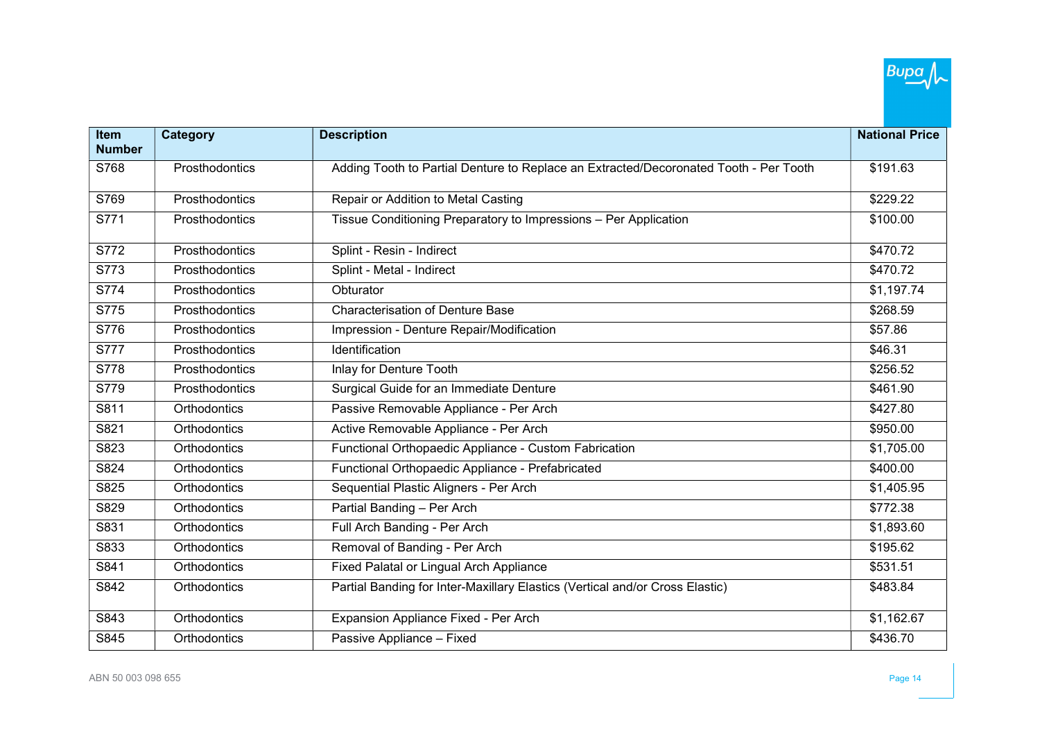

| <b>Item</b><br><b>Number</b> | Category       | <b>Description</b>                                                                    | <b>National Price</b> |
|------------------------------|----------------|---------------------------------------------------------------------------------------|-----------------------|
| S768                         | Prosthodontics | Adding Tooth to Partial Denture to Replace an Extracted/Decoronated Tooth - Per Tooth | \$191.63              |
|                              |                |                                                                                       |                       |
| S769                         | Prosthodontics | Repair or Addition to Metal Casting                                                   | \$229.22              |
| S771                         | Prosthodontics | Tissue Conditioning Preparatory to Impressions - Per Application                      | \$100.00              |
| S772                         | Prosthodontics | Splint - Resin - Indirect                                                             | \$470.72              |
| S773                         | Prosthodontics | Splint - Metal - Indirect                                                             | \$470.72              |
| S774                         | Prosthodontics | Obturator                                                                             | \$1,197.74            |
| S775                         | Prosthodontics | <b>Characterisation of Denture Base</b>                                               | \$268.59              |
| S776                         | Prosthodontics | Impression - Denture Repair/Modification                                              | \$57.86               |
| S777                         | Prosthodontics | Identification                                                                        | \$46.31               |
| S778                         | Prosthodontics | <b>Inlay for Denture Tooth</b>                                                        | \$256.52              |
| S779                         | Prosthodontics | Surgical Guide for an Immediate Denture                                               | \$461.90              |
| S811                         | Orthodontics   | Passive Removable Appliance - Per Arch                                                | \$427.80              |
| S821                         | Orthodontics   | Active Removable Appliance - Per Arch                                                 | \$950.00              |
| S823                         | Orthodontics   | Functional Orthopaedic Appliance - Custom Fabrication                                 | \$1,705.00            |
| S824                         | Orthodontics   | Functional Orthopaedic Appliance - Prefabricated                                      | \$400.00              |
| S825                         | Orthodontics   | Sequential Plastic Aligners - Per Arch                                                | \$1,405.95            |
| S829                         | Orthodontics   | Partial Banding - Per Arch                                                            | \$772.38              |
| S831                         | Orthodontics   | Full Arch Banding - Per Arch                                                          | \$1,893.60            |
| S833                         | Orthodontics   | Removal of Banding - Per Arch                                                         | \$195.62              |
| S841                         | Orthodontics   | Fixed Palatal or Lingual Arch Appliance                                               | \$531.51              |
| S842                         | Orthodontics   | Partial Banding for Inter-Maxillary Elastics (Vertical and/or Cross Elastic)          | \$483.84              |
| S843                         | Orthodontics   | Expansion Appliance Fixed - Per Arch                                                  | \$1,162.67            |
| S845                         | Orthodontics   | Passive Appliance - Fixed                                                             | \$436.70              |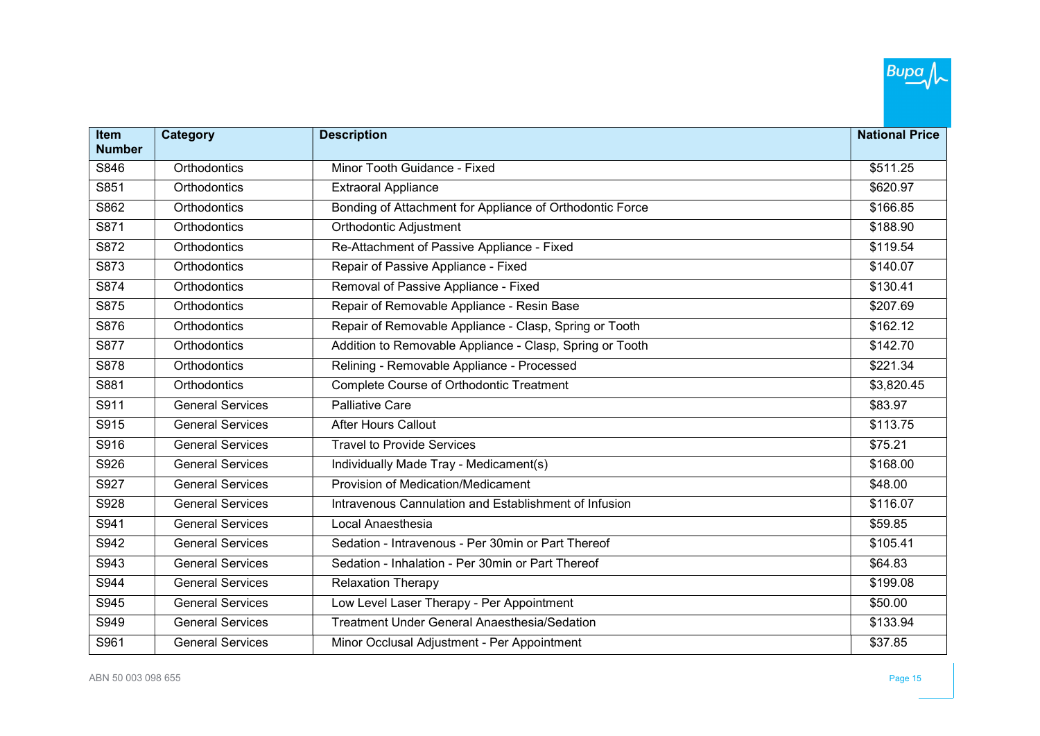| Item          | <b>Category</b>         | <b>Description</b>                                       | <b>National Price</b> |
|---------------|-------------------------|----------------------------------------------------------|-----------------------|
| <b>Number</b> |                         |                                                          |                       |
| S846          | Orthodontics            | Minor Tooth Guidance - Fixed                             | \$511.25              |
| S851          | Orthodontics            | <b>Extraoral Appliance</b>                               | \$620.97              |
| S862          | Orthodontics            | Bonding of Attachment for Appliance of Orthodontic Force | \$166.85              |
| S871          | Orthodontics            | Orthodontic Adjustment                                   | \$188.90              |
| S872          | Orthodontics            | Re-Attachment of Passive Appliance - Fixed               | \$119.54              |
| S873          | Orthodontics            | Repair of Passive Appliance - Fixed                      | \$140.07              |
| S874          | Orthodontics            | Removal of Passive Appliance - Fixed                     | \$130.41              |
| S875          | Orthodontics            | Repair of Removable Appliance - Resin Base               | \$207.69              |
| S876          | Orthodontics            | Repair of Removable Appliance - Clasp, Spring or Tooth   | \$162.12              |
| S877          | Orthodontics            | Addition to Removable Appliance - Clasp, Spring or Tooth | \$142.70              |
| S878          | Orthodontics            | Relining - Removable Appliance - Processed               | \$221.34              |
| S881          | Orthodontics            | <b>Complete Course of Orthodontic Treatment</b>          | \$3,820.45            |
| S911          | <b>General Services</b> | <b>Palliative Care</b>                                   | \$83.97               |
| S915          | <b>General Services</b> | <b>After Hours Callout</b>                               | \$113.75              |
| S916          | <b>General Services</b> | <b>Travel to Provide Services</b>                        | \$75.21               |
| S926          | <b>General Services</b> | Individually Made Tray - Medicament(s)                   | \$168.00              |
| S927          | <b>General Services</b> | <b>Provision of Medication/Medicament</b>                | \$48.00               |
| S928          | <b>General Services</b> | Intravenous Cannulation and Establishment of Infusion    | \$116.07              |
| S941          | General Services        | Local Anaesthesia                                        | \$59.85               |
| S942          | <b>General Services</b> | Sedation - Intravenous - Per 30min or Part Thereof       | \$105.41              |
| S943          | <b>General Services</b> | Sedation - Inhalation - Per 30min or Part Thereof        | \$64.83               |
| S944          | <b>General Services</b> | <b>Relaxation Therapy</b>                                | \$199.08              |
| S945          | <b>General Services</b> | Low Level Laser Therapy - Per Appointment                | \$50.00               |
| S949          | General Services        | <b>Treatment Under General Anaesthesia/Sedation</b>      | \$133.94              |
| S961          | <b>General Services</b> | Minor Occlusal Adjustment - Per Appointment              | \$37.85               |